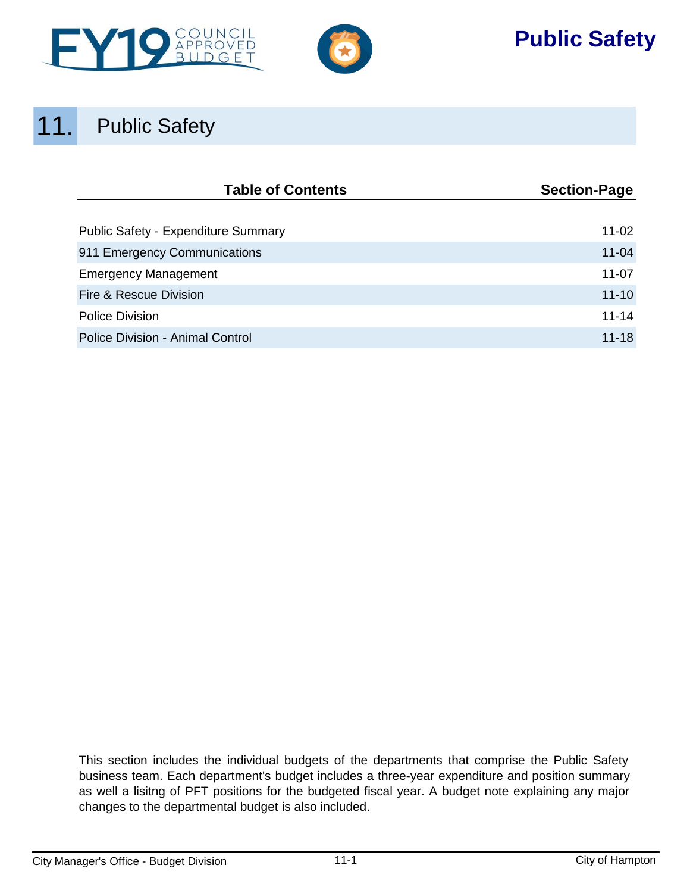



# **Public Safety**

# 11. Public Safety

| <b>Table of Contents</b>                | <b>Section-Page</b> |  |  |
|-----------------------------------------|---------------------|--|--|
|                                         |                     |  |  |
| Public Safety - Expenditure Summary     | 11-02               |  |  |
| 911 Emergency Communications            | $11 - 04$           |  |  |
| <b>Emergency Management</b>             | $11 - 07$           |  |  |
| Fire & Rescue Division                  | $11 - 10$           |  |  |
| <b>Police Division</b>                  | $11 - 14$           |  |  |
| <b>Police Division - Animal Control</b> | $11 - 18$           |  |  |

This section includes the individual budgets of the departments that comprise the Public Safety business team. Each department's budget includes a three-year expenditure and position summary as well a lisitng of PFT positions for the budgeted fiscal year. A budget note explaining any major changes to the departmental budget is also included.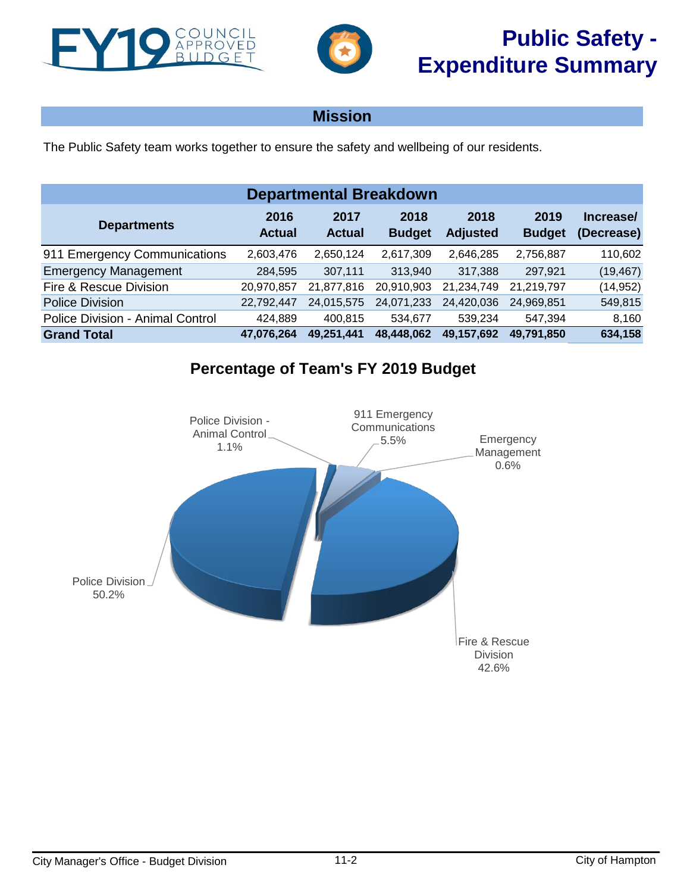<span id="page-1-0"></span>



The Public Safety team works together to ensure the safety and wellbeing of our residents.

| <b>Departmental Breakdown</b>                                                                                                                                                |            |            |            |            |            |           |  |  |  |  |
|------------------------------------------------------------------------------------------------------------------------------------------------------------------------------|------------|------------|------------|------------|------------|-----------|--|--|--|--|
| 2016<br>2018<br>2019<br>2017<br>2018<br>Increase/<br><b>Departments</b><br><b>Actual</b><br><b>Actual</b><br><b>Budget</b><br>(Decrease)<br><b>Budget</b><br><b>Adjusted</b> |            |            |            |            |            |           |  |  |  |  |
| 911 Emergency Communications                                                                                                                                                 | 2,603,476  | 2,650,124  | 2,617,309  | 2,646,285  | 2,756,887  | 110,602   |  |  |  |  |
| <b>Emergency Management</b>                                                                                                                                                  | 284,595    | 307,111    | 313,940    | 317,388    | 297,921    | (19, 467) |  |  |  |  |
| Fire & Rescue Division                                                                                                                                                       | 20,970,857 | 21,877,816 | 20,910,903 | 21,234,749 | 21,219,797 | (14, 952) |  |  |  |  |
| <b>Police Division</b>                                                                                                                                                       | 22,792,447 | 24,015,575 | 24,071,233 | 24,420,036 | 24,969,851 | 549,815   |  |  |  |  |
| <b>Police Division - Animal Control</b>                                                                                                                                      | 424,889    | 400.815    | 534,677    | 539,234    | 547,394    | 8,160     |  |  |  |  |
| <b>Grand Total</b>                                                                                                                                                           | 47,076,264 | 49,251,441 | 48,448,062 | 49,157,692 | 49,791,850 | 634,158   |  |  |  |  |

# **Percentage of Team's FY 2019 Budget**

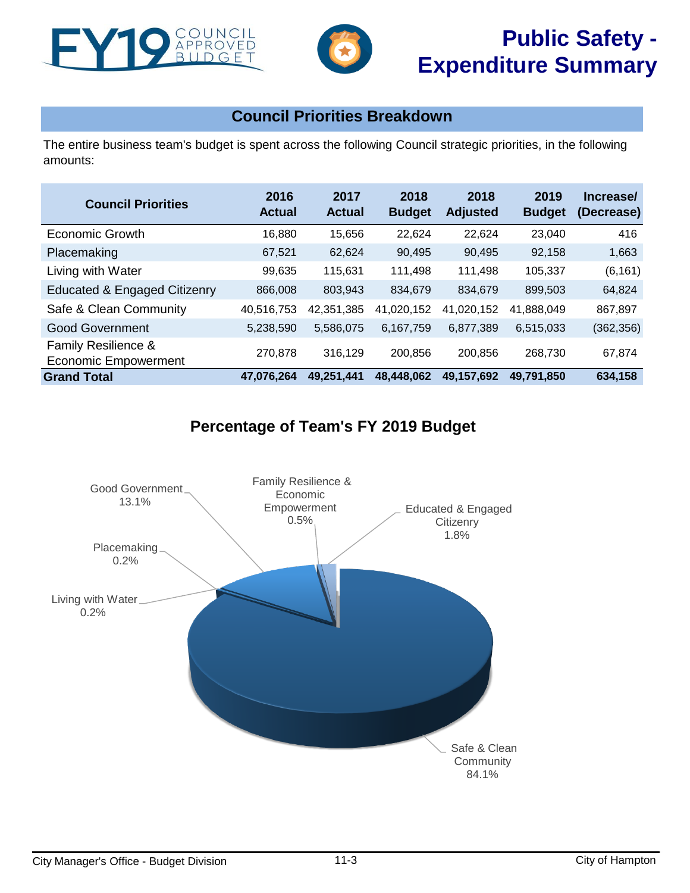



# **Public Safety - Expenditure Summary**

# **Council Priorities Breakdown**

The entire business team's budget is spent across the following Council strategic priorities, in the following amounts:

| <b>Council Priorities</b>                   | 2016<br><b>Actual</b> | 2017<br><b>Actual</b> | 2018<br><b>Budget</b> | 2018<br><b>Adjusted</b> | 2019<br><b>Budget</b> | Increase/<br>(Decrease) |
|---------------------------------------------|-----------------------|-----------------------|-----------------------|-------------------------|-----------------------|-------------------------|
| Economic Growth                             | 16,880                | 15.656                | 22,624                | 22.624                  | 23,040                | 416                     |
| Placemaking                                 | 67,521                | 62.624                | 90,495                | 90,495                  | 92.158                | 1,663                   |
| Living with Water                           | 99,635                | 115,631               | 111,498               | 111,498                 | 105,337               | (6, 161)                |
| <b>Educated &amp; Engaged Citizenry</b>     | 866,008               | 803,943               | 834,679               | 834,679                 | 899,503               | 64,824                  |
| Safe & Clean Community                      | 40,516,753            | 42,351,385            | 41,020,152            | 41,020,152              | 41,888,049            | 867,897                 |
| <b>Good Government</b>                      | 5,238,590             | 5,586,075             | 6,167,759             | 6,877,389               | 6,515,033             | (362, 356)              |
| Family Resilience &<br>Economic Empowerment | 270.878               | 316,129               | 200,856               | 200,856                 | 268,730               | 67,874                  |
| <b>Grand Total</b>                          | 47,076,264            | 49,251,441            | 48,448,062            | 49,157,692              | 49.791.850            | 634,158                 |

# **Percentage of Team's FY 2019 Budget**

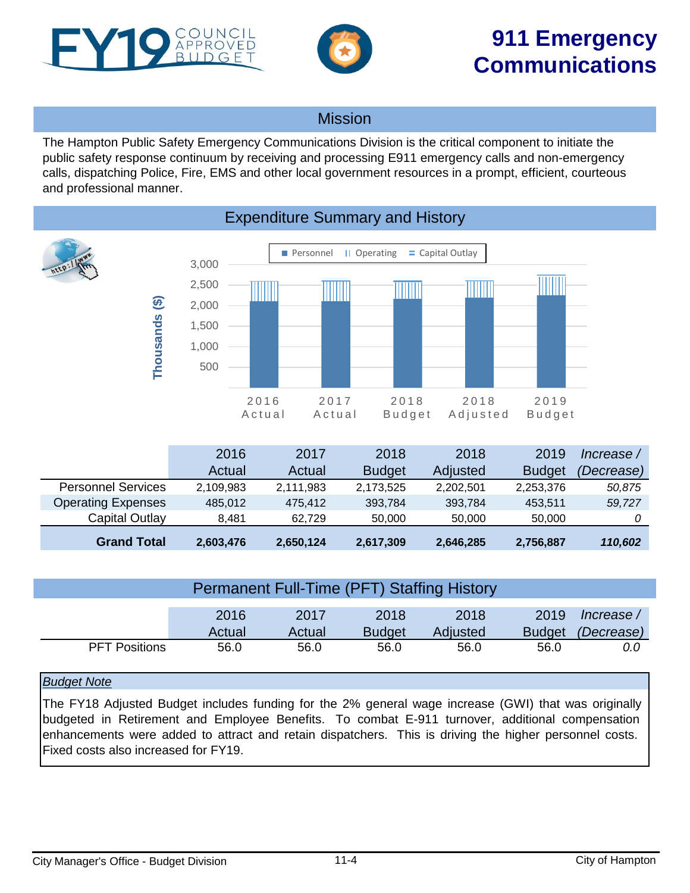<span id="page-3-0"></span>



The Hampton Public Safety Emergency Communications Division is the critical component to initiate the public safety response continuum by receiving and processing E911 emergency calls and non-emergency calls, dispatching Police, Fire, EMS and other local government resources in a prompt, efficient, courteous and professional manner.



# Expenditure Summary and History

|                           | 2016      | 2017      | 2018          | 2018      | 2019          | Increase / |
|---------------------------|-----------|-----------|---------------|-----------|---------------|------------|
|                           | Actual    | Actual    | <b>Budget</b> | Adjusted  | <b>Budget</b> | (Decrease) |
| <b>Personnel Services</b> | 2,109,983 | 2,111,983 | 2,173,525     | 2,202,501 | 2,253,376     | 50,875     |
| <b>Operating Expenses</b> | 485.012   | 475.412   | 393,784       | 393.784   | 453.511       | 59,727     |
| Capital Outlay            | 8.481     | 62.729    | 50,000        | 50,000    | 50,000        |            |
| <b>Grand Total</b>        | 2,603,476 | 2,650,124 | 2,617,309     | 2,646,285 | 2,756,887     | 110,602    |

|                      | <b>Permanent Full-Time (PFT) Staffing History</b> |                       |                          |      |      |     |  |
|----------------------|---------------------------------------------------|-----------------------|--------------------------|------|------|-----|--|
|                      | 2016<br>Actual                                    | 2019<br><b>Budget</b> | Increase /<br>(Decrease) |      |      |     |  |
| <b>PFT Positions</b> | 56.0                                              | 56.0                  | 56.0                     | 56.0 | 56.0 | 0.0 |  |

## *Budget Note*

The FY18 Adjusted Budget includes funding for the 2% general wage increase (GWI) that was originally budgeted in Retirement and Employee Benefits. To combat E-911 turnover, additional compensation enhancements were added to attract and retain dispatchers. This is driving the higher personnel costs. Fixed costs also increased for FY19.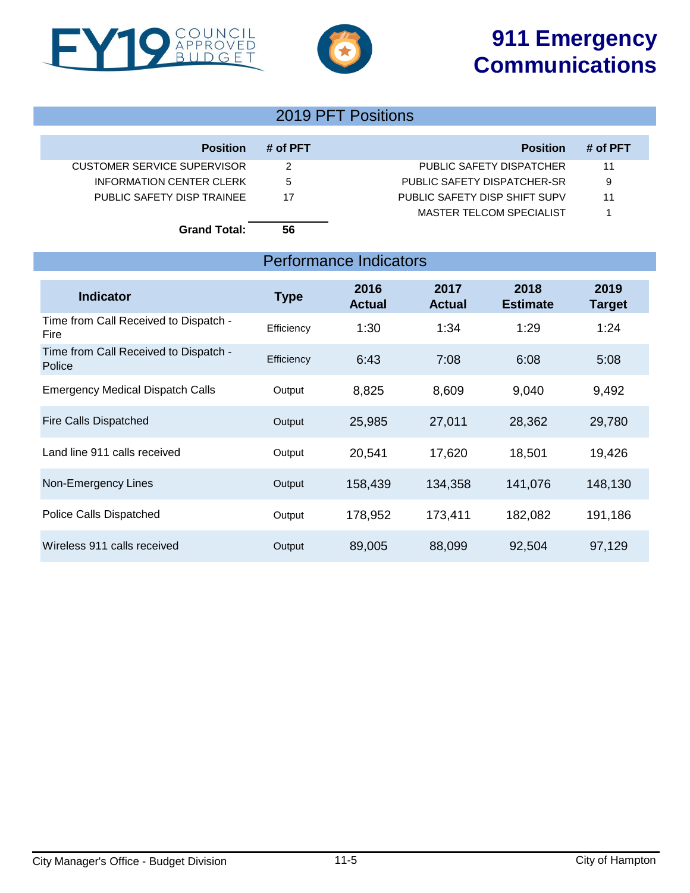# **911 Emergency Communications**



COUNCIL<br>APPROVED<br>BUDGET

F

# 2019 PFT Positions

| <b>Position</b>             | # of PFT | <b>Position</b>               | # of PFT |
|-----------------------------|----------|-------------------------------|----------|
| CUSTOMER SERVICE SUPERVISOR |          | PUBLIC SAFETY DISPATCHER      | 11       |
| INFORMATION CENTER CLERK    | 5        | PUBLIC SAFETY DISPATCHER-SR   | 9        |
| PUBLIC SAFETY DISP TRAINEE  | 17       | PUBLIC SAFETY DISP SHIFT SUPV | 11       |
|                             |          | MASTER TELCOM SPECIALIST      |          |
| <b>Grand Total:</b>         | 56       |                               |          |

# Performance Indicators

| <b>Indicator</b>                                | <b>Type</b> | 2016<br><b>Actual</b> | 2017<br><b>Actual</b> | 2018<br><b>Estimate</b> | 2019<br><b>Target</b> |
|-------------------------------------------------|-------------|-----------------------|-----------------------|-------------------------|-----------------------|
| Time from Call Received to Dispatch -<br>Fire   | Efficiency  | 1:30                  | 1:34                  | 1:29                    | 1:24                  |
| Time from Call Received to Dispatch -<br>Police | Efficiency  | 6:43                  | 7:08                  | 6:08                    | 5:08                  |
| <b>Emergency Medical Dispatch Calls</b>         | Output      | 8,825                 | 8,609                 | 9,040                   | 9,492                 |
| <b>Fire Calls Dispatched</b>                    | Output      | 25,985                | 27,011                | 28,362                  | 29,780                |
| Land line 911 calls received                    | Output      | 20,541                | 17,620                | 18,501                  | 19,426                |
| Non-Emergency Lines                             | Output      | 158,439               | 134,358               | 141,076                 | 148,130               |
| Police Calls Dispatched                         | Output      | 178,952               | 173,411               | 182,082                 | 191,186               |
| Wireless 911 calls received                     | Output      | 89,005                | 88,099                | 92,504                  | 97,129                |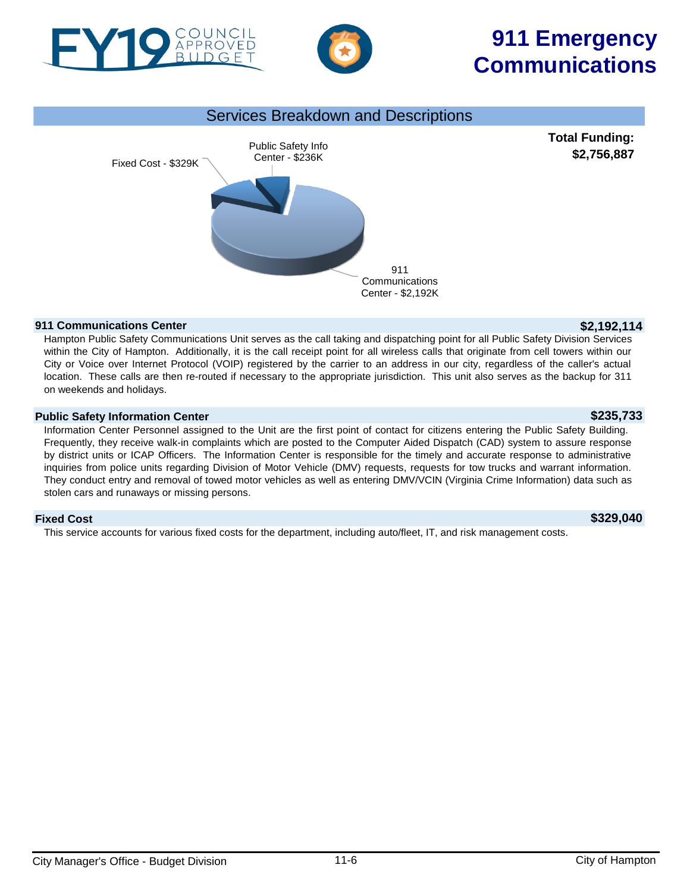

**911 Communications Center \$2,192,114** Hampton Public Safety Communications Unit serves as the call taking and dispatching point for all Public Safety Division Services within the City of Hampton. Additionally, it is the call receipt point for all wireless calls that originate from cell towers within our City or Voice over Internet Protocol (VOIP) registered by the carrier to an address in our city, regardless of the caller's actual location. These calls are then re-routed if necessary to the appropriate jurisdiction. This unit also serves as the backup for 311 on weekends and holidays.

911 **Communications** Center - \$2,192K

Services Breakdown and Descriptions

# **Public Safety Information Center \$235,733**

Information Center Personnel assigned to the Unit are the first point of contact for citizens entering the Public Safety Building. Frequently, they receive walk-in complaints which are posted to the Computer Aided Dispatch (CAD) system to assure response by district units or ICAP Officers. The Information Center is responsible for the timely and accurate response to administrative inquiries from police units regarding Division of Motor Vehicle (DMV) requests, requests for tow trucks and warrant information. They conduct entry and removal of towed motor vehicles as well as entering DMV/VCIN (Virginia Crime Information) data such as stolen cars and runaways or missing persons.

## **Fixed Cost \$329,040**

This service accounts for various fixed costs for the department, including auto/fleet, IT, and risk management costs.

# **911 Emergency Communications**

**Total Funding: \$2,756,887**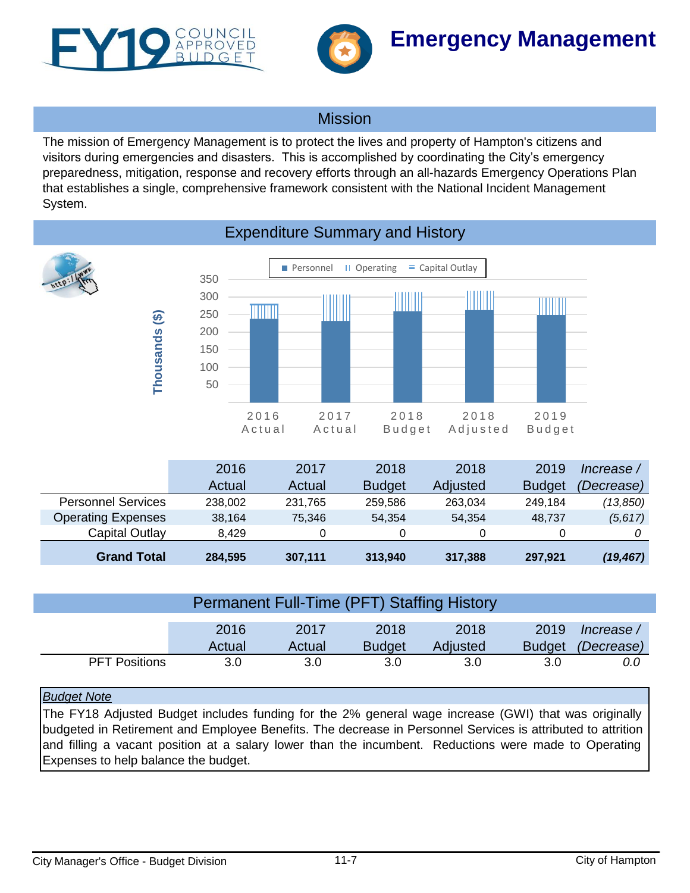<span id="page-6-0"></span>



The mission of Emergency Management is to protect the lives and property of Hampton's citizens and visitors during emergencies and disasters. This is accomplished by coordinating the City's emergency preparedness, mitigation, response and recovery efforts through an all-hazards Emergency Operations Plan that establishes a single, comprehensive framework consistent with the National Incident Management System.

Personnel II Operating  $=$  Capital Outlay 350 IIIIII 300 IIIII IIIII **TITULI** 250 **Thousands (\$)** Thousands (\$) 200 150 100 50 2016 2017 2018 2018 2019 A c t u a l A c t u a l B u d g e t A d j u s t e d B u d g e t

| <b>Expenditure Summary and History</b> |  |  |
|----------------------------------------|--|--|
|                                        |  |  |

|                           | 2016    | 2017    | 2018          | 2018     | 2019          | Increase /        |
|---------------------------|---------|---------|---------------|----------|---------------|-------------------|
|                           | Actual  | Actual  | <b>Budget</b> | Adjusted | <b>Budget</b> | <i>(Decrease)</i> |
| <b>Personnel Services</b> | 238,002 | 231,765 | 259,586       | 263,034  | 249,184       | (13,850)          |
| <b>Operating Expenses</b> | 38,164  | 75.346  | 54.354        | 54,354   | 48.737        | (5,617)           |
| Capital Outlay            | 8.429   | 0       |               | 0        |               |                   |
| <b>Grand Total</b>        | 284,595 | 307,111 | 313,940       | 317,388  | 297,921       | (19, 467)         |

|                      | 2016<br>Actual | 2019<br><b>Budget</b> | / Increase<br>(Decrease) |     |     |     |
|----------------------|----------------|-----------------------|--------------------------|-----|-----|-----|
| <b>PFT Positions</b> | 3.0            | 3.0                   | 3.0                      | 3.0 | 3.0 | 0.0 |

## *Budget Note*

The FY18 Adjusted Budget includes funding for the 2% general wage increase (GWI) that was originally budgeted in Retirement and Employee Benefits. The decrease in Personnel Services is attributed to attrition and filling a vacant position at a salary lower than the incumbent. Reductions were made to Operating Expenses to help balance the budget.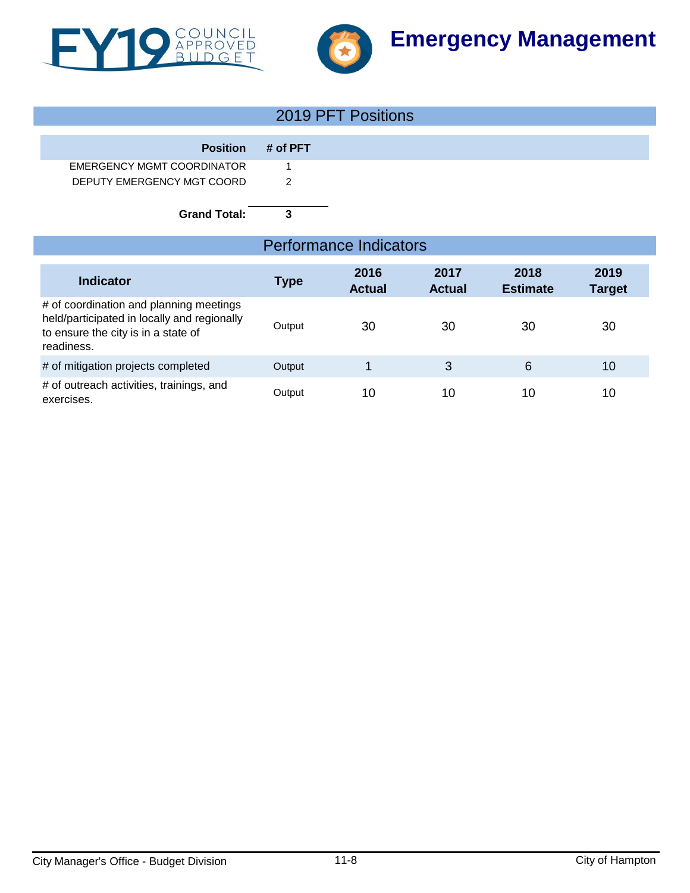



# 2019 PFT Positions

| <b>Position</b>            | # of PFT |
|----------------------------|----------|
| EMERGENCY MGMT COORDINATOR |          |
| DEPUTY EMERGENCY MGT COORD | - 2      |

**Grand Total: 3**

| <b>Performance Indicators</b>                                                                                                               |             |                       |                       |                         |                       |  |
|---------------------------------------------------------------------------------------------------------------------------------------------|-------------|-----------------------|-----------------------|-------------------------|-----------------------|--|
| Indicator                                                                                                                                   | <b>Type</b> | 2016<br><b>Actual</b> | 2017<br><b>Actual</b> | 2018<br><b>Estimate</b> | 2019<br><b>Target</b> |  |
| # of coordination and planning meetings<br>held/participated in locally and regionally<br>to ensure the city is in a state of<br>readiness. | Output      | 30                    | 30                    | 30                      | 30                    |  |
| # of mitigation projects completed                                                                                                          | Output      |                       | 3                     | 6                       | 10                    |  |
| # of outreach activities, trainings, and<br>exercises.                                                                                      | Output      | 10                    | 10                    | 10                      | 10                    |  |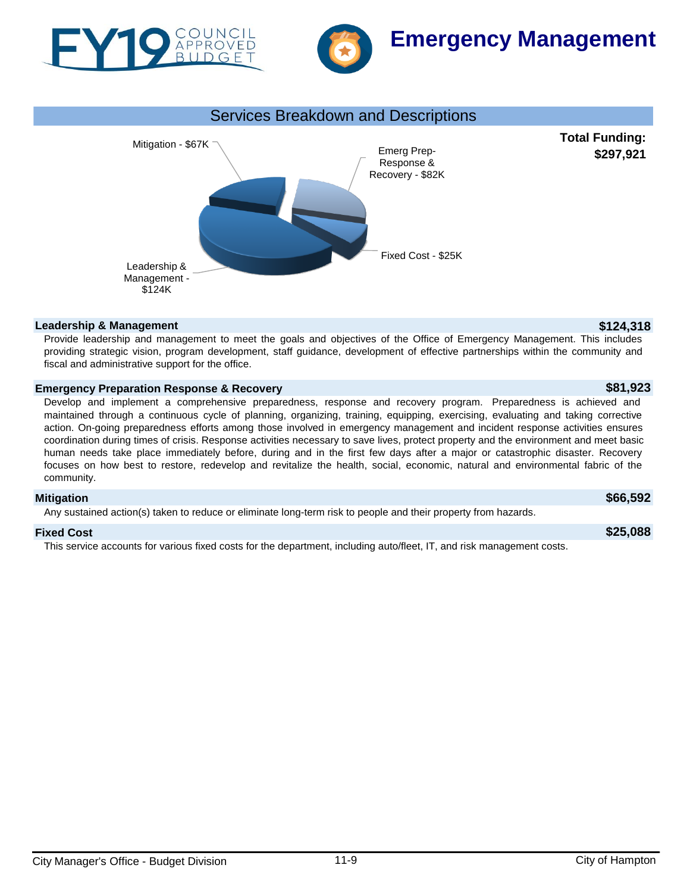





### **Leadership & Management \$124,318**

Provide leadership and management to meet the goals and objectives of the Office of Emergency Management. This includes providing strategic vision, program development, staff guidance, development of effective partnerships within the community and fiscal and administrative support for the office.

### **Emergency Preparation Response & Recovery \$81,923**

Develop and implement a comprehensive preparedness, response and recovery program. Preparedness is achieved and maintained through a continuous cycle of planning, organizing, training, equipping, exercising, evaluating and taking corrective action. On-going preparedness efforts among those involved in emergency management and incident response activities ensures coordination during times of crisis. Response activities necessary to save lives, protect property and the environment and meet basic human needs take place immediately before, during and in the first few days after a major or catastrophic disaster. Recovery focuses on how best to restore, redevelop and revitalize the health, social, economic, natural and environmental fabric of the community.

### **Mitigation \$66,592**

Any sustained action(s) taken to reduce or eliminate long-term risk to people and their property from hazards.

### **Fixed Cost \$25,088**

This service accounts for various fixed costs for the department, including auto/fleet, IT, and risk management costs.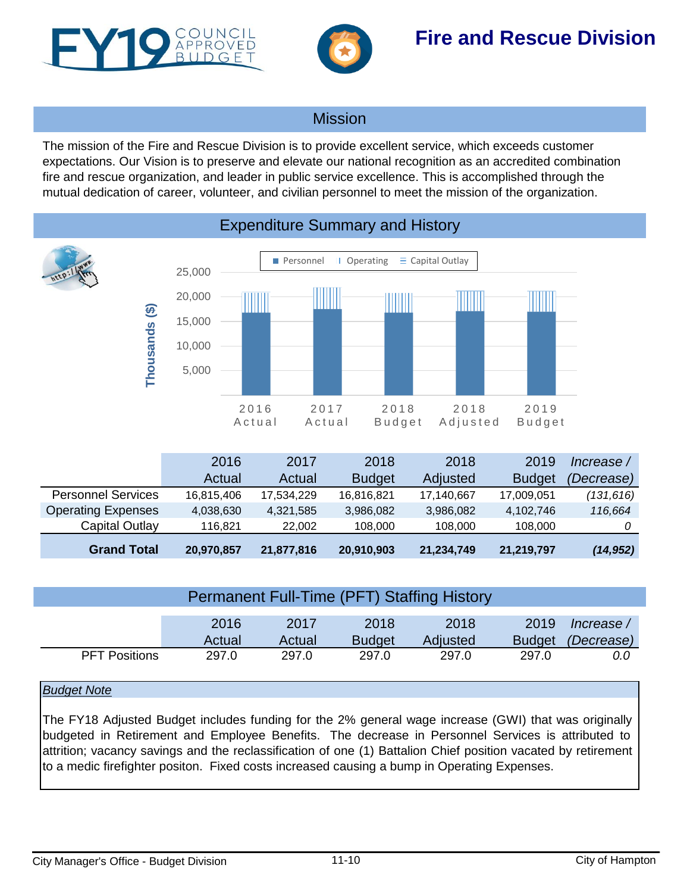<span id="page-9-0"></span>



# Mission

The mission of the Fire and Rescue Division is to provide excellent service, which exceeds customer expectations. Our Vision is to preserve and elevate our national recognition as an accredited combination fire and rescue organization, and leader in public service excellence. This is accomplished through the mutual dedication of career, volunteer, and civilian personnel to meet the mission of the organization.



|                           | 2016       | 2017       | 2018          | 2018       | 2019          | Increase / |
|---------------------------|------------|------------|---------------|------------|---------------|------------|
|                           | Actual     | Actual     | <b>Budget</b> | Adjusted   | <b>Budget</b> | (Decrease) |
| <b>Personnel Services</b> | 16,815,406 | 17,534,229 | 16,816,821    | 17,140,667 | 17,009,051    | (131,616)  |
| <b>Operating Expenses</b> | 4,038,630  | 4,321,585  | 3,986,082     | 3,986,082  | 4,102,746     | 116,664    |
| Capital Outlay            | 116.821    | 22,002     | 108,000       | 108,000    | 108,000       |            |
| <b>Grand Total</b>        | 20,970,857 | 21,877,816 | 20,910,903    | 21,234,749 | 21,219,797    | (14, 952)  |

| <b>Permanent Full-Time (PFT) Staffing History</b> |        |        |               |          |               |            |  |  |  |
|---------------------------------------------------|--------|--------|---------------|----------|---------------|------------|--|--|--|
|                                                   | 2016   | 2017   | 2018          | 2018     | 2019          | Increase / |  |  |  |
|                                                   | Actual | Actual | <b>Budget</b> | Adjusted | <b>Budget</b> | (Decrease) |  |  |  |
| <b>PFT Positions</b>                              | 297.0  | 297.0  | 297.0         | 297.0    | 297.0         | 0.0        |  |  |  |

## *Budget Note*

The FY18 Adjusted Budget includes funding for the 2% general wage increase (GWI) that was originally budgeted in Retirement and Employee Benefits. The decrease in Personnel Services is attributed to attrition; vacancy savings and the reclassification of one (1) Battalion Chief position vacated by retirement to a medic firefighter positon. Fixed costs increased causing a bump in Operating Expenses.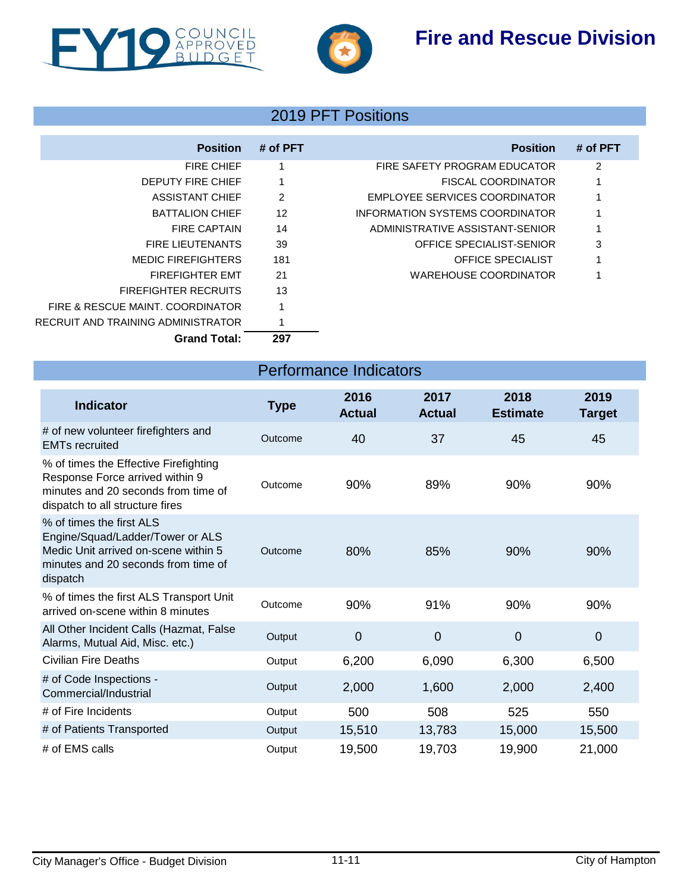



# 2019 PFT Positions

| <b>Position</b>                    | # of PFT | <b>Position</b>                      | # of PFT |
|------------------------------------|----------|--------------------------------------|----------|
| <b>FIRE CHIEF</b>                  |          | FIRE SAFETY PROGRAM EDUCATOR         | 2        |
| <b>DEPUTY FIRE CHIEF</b>           |          | <b>FISCAL COORDINATOR</b>            | 1        |
| <b>ASSISTANT CHIEF</b>             | 2        | <b>EMPLOYEE SERVICES COORDINATOR</b> |          |
| <b>BATTALION CHIEF</b>             | 12       | INFORMATION SYSTEMS COORDINATOR      |          |
| <b>FIRE CAPTAIN</b>                | 14       | ADMINISTRATIVE ASSISTANT-SENIOR      |          |
| FIRE LIFUTENANTS                   | 39       | OFFICE SPECIALIST-SENIOR             | 3        |
| <b>MEDIC FIREFIGHTERS</b>          | 181      | <b>OFFICE SPECIALIST</b>             | 1        |
| <b>FIREFIGHTER EMT</b>             | 21       | WAREHOUSE COORDINATOR                |          |
| <b>FIREFIGHTER RECRUITS</b>        | 13       |                                      |          |
| FIRE & RESCUE MAINT, COORDINATOR   |          |                                      |          |
| RECRUIT AND TRAINING ADMINISTRATOR |          |                                      |          |
| <b>Grand Total:</b>                | 297      |                                      |          |

Performance Indicators

| <b>Indicator</b>                                                                                                                                        | <b>Type</b> | 2016<br><b>Actual</b> | 2017<br><b>Actual</b> | 2018<br><b>Estimate</b> | 2019<br><b>Target</b> |
|---------------------------------------------------------------------------------------------------------------------------------------------------------|-------------|-----------------------|-----------------------|-------------------------|-----------------------|
| # of new volunteer firefighters and<br><b>EMTs recruited</b>                                                                                            | Outcome     | 40                    | 37                    | 45                      | 45                    |
| % of times the Effective Firefighting<br>Response Force arrived within 9<br>minutes and 20 seconds from time of<br>dispatch to all structure fires      | Outcome     | 90%                   | 89%                   | 90%                     | 90%                   |
| % of times the first ALS<br>Engine/Squad/Ladder/Tower or ALS<br>Medic Unit arrived on-scene within 5<br>minutes and 20 seconds from time of<br>dispatch | Outcome     | 80%                   | 85%                   | 90%                     | 90%                   |
| % of times the first ALS Transport Unit<br>arrived on-scene within 8 minutes                                                                            | Outcome     | 90%                   | 91%                   | 90%                     | 90%                   |
| All Other Incident Calls (Hazmat, False<br>Alarms, Mutual Aid, Misc. etc.)                                                                              | Output      | 0                     | $\overline{0}$        | $\mathbf 0$             | $\overline{0}$        |
| <b>Civilian Fire Deaths</b>                                                                                                                             | Output      | 6,200                 | 6,090                 | 6,300                   | 6,500                 |
| # of Code Inspections -<br>Commercial/Industrial                                                                                                        | Output      | 2,000                 | 1,600                 | 2,000                   | 2,400                 |
| # of Fire Incidents                                                                                                                                     | Output      | 500                   | 508                   | 525                     | 550                   |
| # of Patients Transported                                                                                                                               | Output      | 15,510                | 13,783                | 15,000                  | 15,500                |
| # of EMS calls                                                                                                                                          | Output      | 19,500                | 19,703                | 19,900                  | 21,000                |

## City Manager's Office - Budget Division 11-11 City of Hampton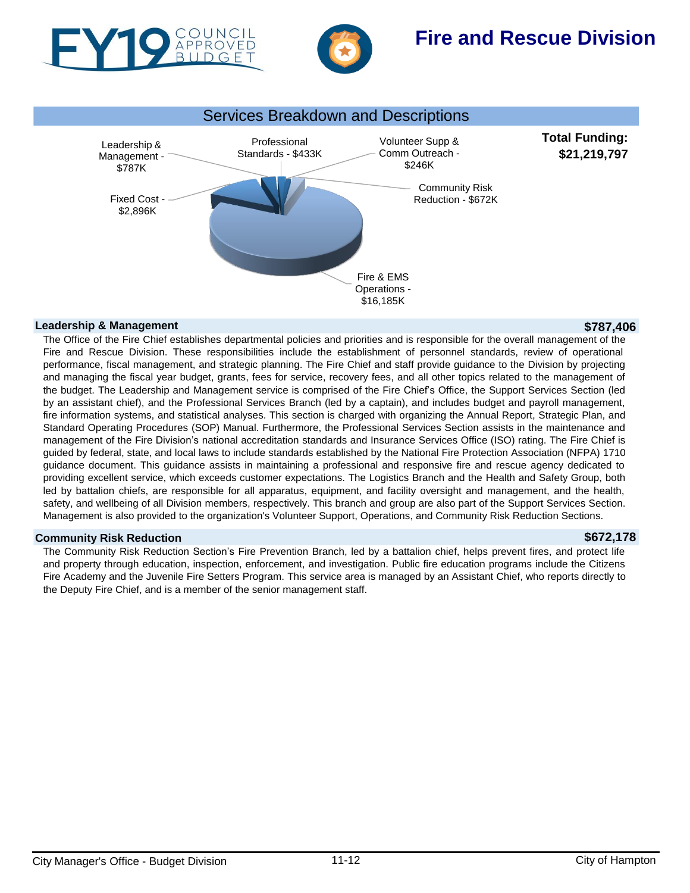





### **Leadership & Management \$787,406**

The Office of the Fire Chief establishes departmental policies and priorities and is responsible for the overall management of the Fire and Rescue Division. These responsibilities include the establishment of personnel standards, review of operational performance, fiscal management, and strategic planning. The Fire Chief and staff provide guidance to the Division by projecting and managing the fiscal year budget, grants, fees for service, recovery fees, and all other topics related to the management of the budget. The Leadership and Management service is comprised of the Fire Chief's Office, the Support Services Section (led by an assistant chief), and the Professional Services Branch (led by a captain), and includes budget and payroll management, fire information systems, and statistical analyses. This section is charged with organizing the Annual Report, Strategic Plan, and Standard Operating Procedures (SOP) Manual. Furthermore, the Professional Services Section assists in the maintenance and management of the Fire Division's national accreditation standards and Insurance Services Office (ISO) rating. The Fire Chief is guided by federal, state, and local laws to include standards established by the National Fire Protection Association (NFPA) 1710 guidance document. This guidance assists in maintaining a professional and responsive fire and rescue agency dedicated to providing excellent service, which exceeds customer expectations. The Logistics Branch and the Health and Safety Group, both led by battalion chiefs, are responsible for all apparatus, equipment, and facility oversight and management, and the health, safety, and wellbeing of all Division members, respectively. This branch and group are also part of the Support Services Section. Management is also provided to the organization's Volunteer Support, Operations, and Community Risk Reduction Sections.

### **Community Risk Reduction \$672,178**

The Community Risk Reduction Section's Fire Prevention Branch, led by a battalion chief, helps prevent fires, and protect life and property through education, inspection, enforcement, and investigation. Public fire education programs include the Citizens Fire Academy and the Juvenile Fire Setters Program. This service area is managed by an Assistant Chief, who reports directly to the Deputy Fire Chief, and is a member of the senior management staff.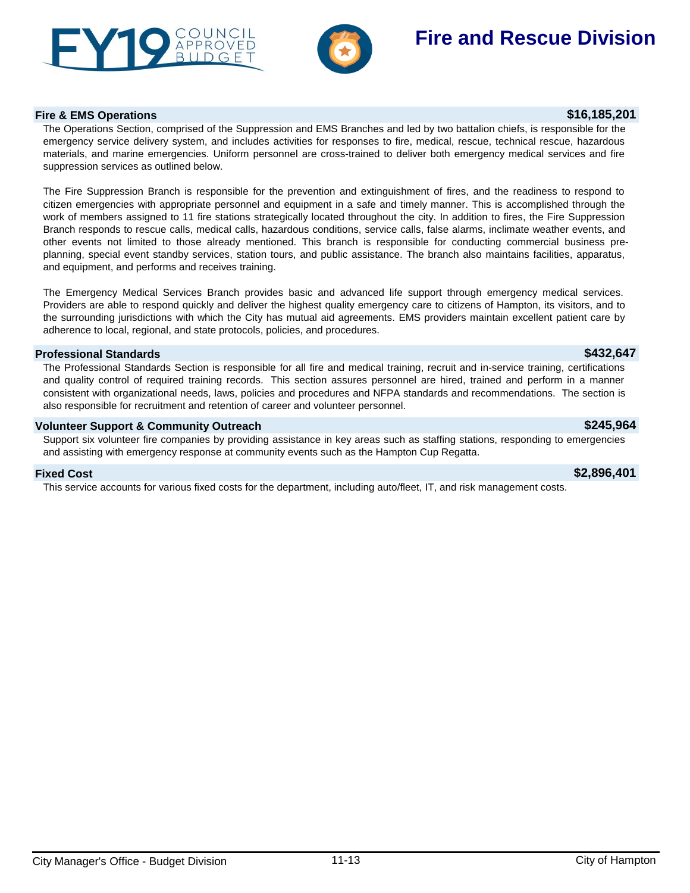



### **Fire & EMS Operations \$16,185,201**

The Operations Section, comprised of the Suppression and EMS Branches and led by two battalion chiefs, is responsible for the emergency service delivery system, and includes activities for responses to fire, medical, rescue, technical rescue, hazardous materials, and marine emergencies. Uniform personnel are cross-trained to deliver both emergency medical services and fire suppression services as outlined below.

The Fire Suppression Branch is responsible for the prevention and extinguishment of fires, and the readiness to respond to citizen emergencies with appropriate personnel and equipment in a safe and timely manner. This is accomplished through the work of members assigned to 11 fire stations strategically located throughout the city. In addition to fires, the Fire Suppression Branch responds to rescue calls, medical calls, hazardous conditions, service calls, false alarms, inclimate weather events, and other events not limited to those already mentioned. This branch is responsible for conducting commercial business preplanning, special event standby services, station tours, and public assistance. The branch also maintains facilities, apparatus, and equipment, and performs and receives training.

The Emergency Medical Services Branch provides basic and advanced life support through emergency medical services. Providers are able to respond quickly and deliver the highest quality emergency care to citizens of Hampton, its visitors, and to the surrounding jurisdictions with which the City has mutual aid agreements. EMS providers maintain excellent patient care by adherence to local, regional, and state protocols, policies, and procedures.

### **Professional Standards \$432,647**

The Professional Standards Section is responsible for all fire and medical training, recruit and in-service training, certifications and quality control of required training records. This section assures personnel are hired, trained and perform in a manner consistent with organizational needs, laws, policies and procedures and NFPA standards and recommendations. The section is also responsible for recruitment and retention of career and volunteer personnel.

### **Volunteer Support & Community Outreach \$245,964**

Support six volunteer fire companies by providing assistance in key areas such as staffing stations, responding to emergencies and assisting with emergency response at community events such as the Hampton Cup Regatta.

This service accounts for various fixed costs for the department, including auto/fleet, IT, and risk management costs.

### **Fixed Cost \$2,896,401**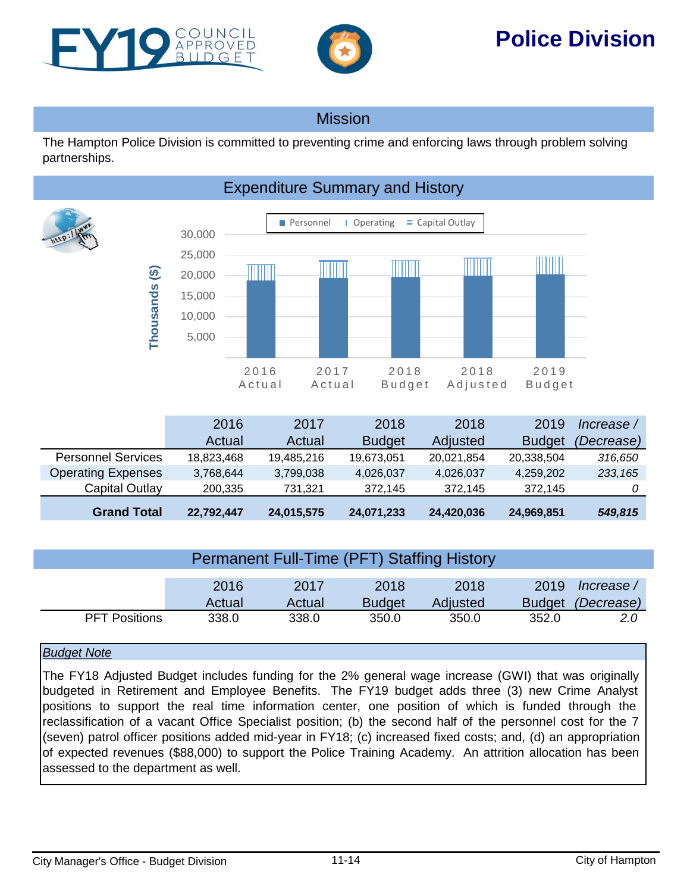<span id="page-13-0"></span>



# **Police Division**

## Mission

The Hampton Police Division is committed to preventing crime and enforcing laws through problem solving partnerships.



|                           | 2016       | 2017       | 2018          | 2018       | 2019          | Increase / |
|---------------------------|------------|------------|---------------|------------|---------------|------------|
|                           | Actual     | Actual     | <b>Budget</b> | Adjusted   | <b>Budget</b> | (Decrease) |
| <b>Personnel Services</b> | 18,823,468 | 19,485,216 | 19,673,051    | 20,021,854 | 20,338,504    | 316,650    |
| <b>Operating Expenses</b> | 3,768,644  | 3,799,038  | 4,026,037     | 4,026,037  | 4,259,202     | 233, 165   |
| Capital Outlay            | 200.335    | 731.321    | 372.145       | 372.145    | 372.145       |            |
| <b>Grand Total</b>        | 22,792,447 | 24,015,575 | 24,071,233    | 24,420,036 | 24,969,851    | 549,815    |

| <b>Permanent Full-Time (PFT) Staffing History</b> |                |                |                       |                  |       |                                        |  |  |
|---------------------------------------------------|----------------|----------------|-----------------------|------------------|-------|----------------------------------------|--|--|
|                                                   | 2016<br>Actual | 2017<br>Actual | 2018<br><b>Budget</b> | 2018<br>Adjusted | 2019  | lncrease /<br>Budget <i>(Decrease)</i> |  |  |
| <b>PFT Positions</b>                              | 338.0          | 338.0          | 350.0                 | 350.0            | 352.0 | <b>2.0</b>                             |  |  |

## *Budget Note*

The FY18 Adjusted Budget includes funding for the 2% general wage increase (GWI) that was originally budgeted in Retirement and Employee Benefits. The FY19 budget adds three (3) new Crime Analyst positions to support the real time information center, one position of which is funded through the reclassification of a vacant Office Specialist position; (b) the second half of the personnel cost for the 7 (seven) patrol officer positions added mid-year in FY18; (c) increased fixed costs; and, (d) an appropriation of expected revenues (\$88,000) to support the Police Training Academy. An attrition allocation has been assessed to the department as well.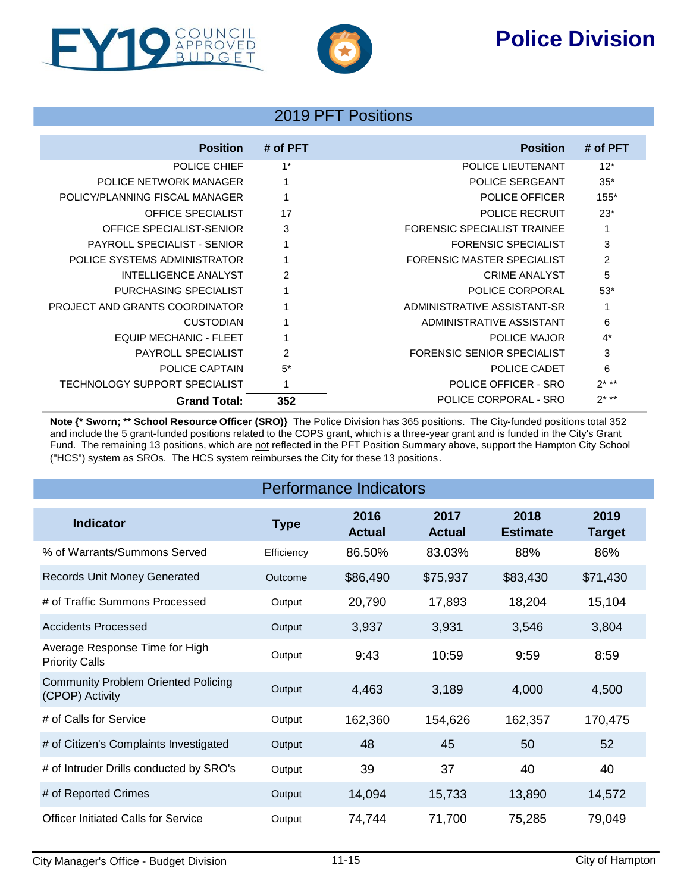# **Police Division**





# 2019 PFT Positions

| <b>Position</b>                       | # of PFT       | <b>Position</b>             | # of PFT |
|---------------------------------------|----------------|-----------------------------|----------|
| POLICE CHIEF                          | $1^*$          | POLICE LIEUTENANT           | $12*$    |
| POLICE NETWORK MANAGER                | $\mathbf 1$    | <b>POLICE SERGEANT</b>      | $35*$    |
| POLICY/PLANNING FISCAL MANAGER        | 1              | POLICE OFFICER              | $155*$   |
| <b>OFFICE SPECIALIST</b>              | 17             | <b>POLICE RECRUIT</b>       | $23*$    |
| OFFICE SPECIALIST-SENIOR              | 3              | FORENSIC SPECIALIST TRAINEE |          |
| <b>PAYROLL SPECIALIST - SENIOR</b>    |                | <b>FORENSIC SPECIALIST</b>  | 3        |
| POLICE SYSTEMS ADMINISTRATOR          |                | FORENSIC MASTER SPECIALIST  | 2        |
| <b>INTELLIGENCE ANALYST</b>           | 2              | <b>CRIME ANALYST</b>        | 5        |
| PURCHASING SPECIALIST                 |                | POLICE CORPORAL             | $53*$    |
| <b>PROJECT AND GRANTS COORDINATOR</b> |                | ADMINISTRATIVE ASSISTANT-SR | 1        |
| <b>CUSTODIAN</b>                      |                | ADMINISTRATIVE ASSISTANT    | 6        |
| <b>EQUIP MECHANIC - FLEET</b>         |                | <b>POLICE MAJOR</b>         | $4^*$    |
| <b>PAYROLL SPECIALIST</b>             | $\overline{2}$ | FORENSIC SENIOR SPECIALIST  | 3        |
| POLICE CAPTAIN                        | $5^*$          | POLICE CADET                | 6        |
| TECHNOLOGY SUPPORT SPECIALIST         | 1              | POLICE OFFICER - SRO        | $2***$   |
| <b>Grand Total:</b>                   | 352            | POLICE CORPORAL - SRO       | $2***$   |

**Note {\* Sworn; \*\* School Resource Officer (SRO)}** The Police Division has 365 positions. The City-funded positions total 352 and include the 5 grant-funded positions related to the COPS grant, which is a three-year grant and is funded in the City's Grant Fund. The remaining 13 positions, which are not reflected in the PFT Position Summary above, support the Hampton City School ("HCS") system as SROs. The HCS system reimburses the City for these 13 positions.

| <b>Performance Indicators</b>                                 |             |                       |                       |                         |                       |  |  |
|---------------------------------------------------------------|-------------|-----------------------|-----------------------|-------------------------|-----------------------|--|--|
| <b>Indicator</b>                                              | <b>Type</b> | 2016<br><b>Actual</b> | 2017<br><b>Actual</b> | 2018<br><b>Estimate</b> | 2019<br><b>Target</b> |  |  |
| % of Warrants/Summons Served                                  | Efficiency  | 86.50%                | 83.03%                | 88%                     | 86%                   |  |  |
| <b>Records Unit Money Generated</b>                           | Outcome     | \$86,490              | \$75,937              | \$83,430                | \$71,430              |  |  |
| # of Traffic Summons Processed                                | Output      | 20,790                | 17,893                | 18,204                  | 15,104                |  |  |
| <b>Accidents Processed</b>                                    | Output      | 3,937                 | 3,931                 | 3,546                   | 3,804                 |  |  |
| Average Response Time for High<br><b>Priority Calls</b>       | Output      | 9:43                  | 10:59                 | 9:59                    | 8:59                  |  |  |
| <b>Community Problem Oriented Policing</b><br>(CPOP) Activity | Output      | 4,463                 | 3,189                 | 4,000                   | 4,500                 |  |  |
| # of Calls for Service                                        | Output      | 162,360               | 154,626               | 162,357                 | 170,475               |  |  |
| # of Citizen's Complaints Investigated                        | Output      | 48                    | 45                    | 50                      | 52                    |  |  |
| # of Intruder Drills conducted by SRO's                       | Output      | 39                    | 37                    | 40                      | 40                    |  |  |
| # of Reported Crimes                                          | Output      | 14,094                | 15,733                | 13,890                  | 14,572                |  |  |
| <b>Officer Initiated Calls for Service</b>                    | Output      | 74,744                | 71,700                | 75,285                  | 79,049                |  |  |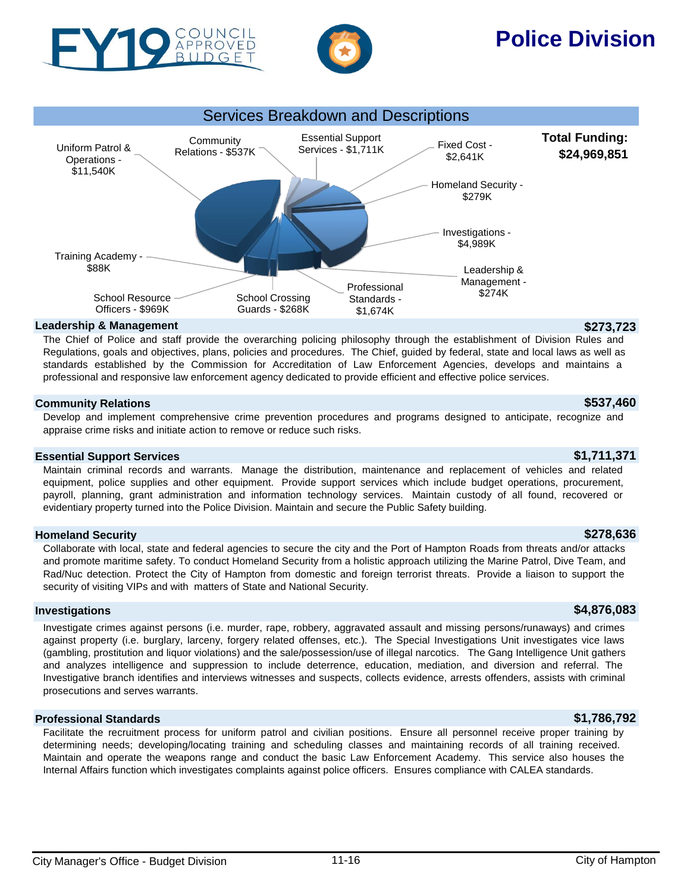

OUNCIL BUDGET

# Services Breakdown and Descriptions

### **Total Funding: \$24,969,851** Relations - \$537K Essential Support Services - \$1,711K Fixed Cost -\$2,641K Homeland Security - \$279K Investigations - \$4,989K Leadership & Management -<br>\$274K Professional Standards - School Crossing School Resource Training Academy - \$88K Uniform Patrol & Operations - \$11,540K

\$1,674K

## **Leadership & Management \$273,723**

Officers - \$969K

The Chief of Police and staff provide the overarching policing philosophy through the establishment of Division Rules and Regulations, goals and objectives, plans, policies and procedures. The Chief, guided by federal, state and local laws as well as standards established by the Commission for Accreditation of Law Enforcement Agencies, develops and maintains a professional and responsive law enforcement agency dedicated to provide efficient and effective police services.

Guards - \$268K

## **Community Relations \$537,460**

Develop and implement comprehensive crime prevention procedures and programs designed to anticipate, recognize and appraise crime risks and initiate action to remove or reduce such risks.

## **Essential Support Services \$1,711,371**

Maintain criminal records and warrants. Manage the distribution, maintenance and replacement of vehicles and related equipment, police supplies and other equipment. Provide support services which include budget operations, procurement, payroll, planning, grant administration and information technology services. Maintain custody of all found, recovered or evidentiary property turned into the Police Division. Maintain and secure the Public Safety building.

## **Homeland Security \$278,636**

Collaborate with local, state and federal agencies to secure the city and the Port of Hampton Roads from threats and/or attacks and promote maritime safety. To conduct Homeland Security from a holistic approach utilizing the Marine Patrol, Dive Team, and Rad/Nuc detection. Protect the City of Hampton from domestic and foreign terrorist threats. Provide a liaison to support the security of visiting VIPs and with matters of State and National Security.

## **Investigations \$4,876,083**

Investigate crimes against persons (i.e. murder, rape, robbery, aggravated assault and missing persons/runaways) and crimes against property (i.e. burglary, larceny, forgery related offenses, etc.). The Special Investigations Unit investigates vice laws (gambling, prostitution and liquor violations) and the sale/possession/use of illegal narcotics. The Gang Intelligence Unit gathers and analyzes intelligence and suppression to include deterrence, education, mediation, and diversion and referral. The Investigative branch identifies and interviews witnesses and suspects, collects evidence, arrests offenders, assists with criminal prosecutions and serves warrants.

## **Professional Standards \$1,786,792**

Facilitate the recruitment process for uniform patrol and civilian positions. Ensure all personnel receive proper training by determining needs; developing/locating training and scheduling classes and maintaining records of all training received. Maintain and operate the weapons range and conduct the basic Law Enforcement Academy. This service also houses the Internal Affairs function which investigates complaints against police officers. Ensures compliance with CALEA standards.

# **Police Division**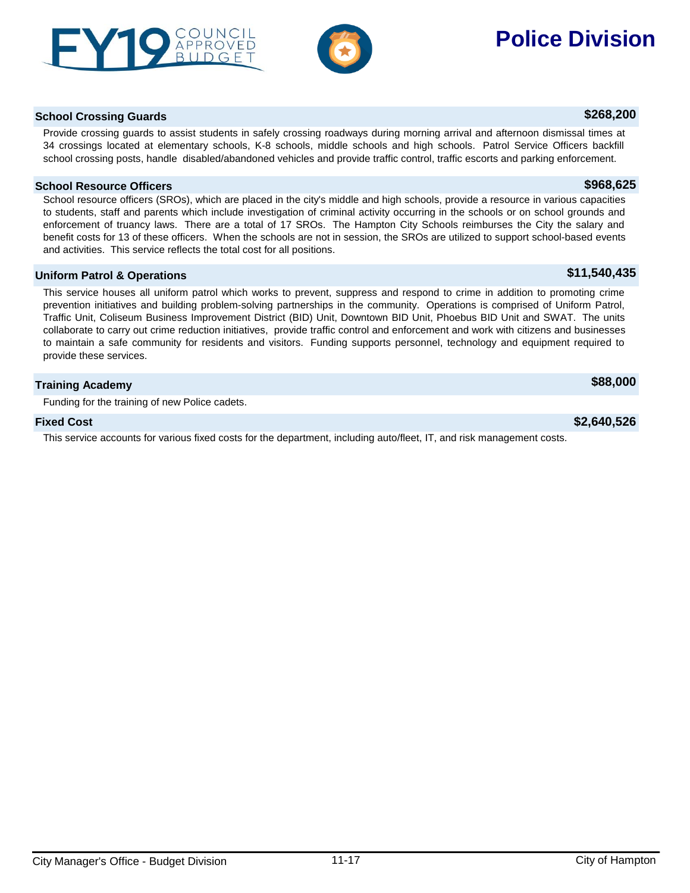# school crossing posts, handle disabled/abandoned vehicles and provide traffic control, traffic escorts and parking enforcement. **School Resource Officers \$968,625**

School resource officers (SROs), which are placed in the city's middle and high schools, provide a resource in various capacities to students, staff and parents which include investigation of criminal activity occurring in the schools or on school grounds and enforcement of truancy laws. There are a total of 17 SROs. The Hampton City Schools reimburses the City the salary and benefit costs for 13 of these officers. When the schools are not in session, the SROs are utilized to support school-based events and activities. This service reflects the total cost for all positions.

Provide crossing guards to assist students in safely crossing roadways during morning arrival and afternoon dismissal times at 34 crossings located at elementary schools, K-8 schools, middle schools and high schools. Patrol Service Officers backfill

## **Uniform Patrol & Operations by the contract of the contract of the contract of the contract of the contract of the contract of the contract of the contract of the contract of the contract of the contract of the contract**

This service houses all uniform patrol which works to prevent, suppress and respond to crime in addition to promoting crime prevention initiatives and building problem-solving partnerships in the community. Operations is comprised of Uniform Patrol, Traffic Unit, Coliseum Business Improvement District (BID) Unit, Downtown BID Unit, Phoebus BID Unit and SWAT. The units collaborate to carry out crime reduction initiatives, provide traffic control and enforcement and work with citizens and businesses to maintain a safe community for residents and visitors. Funding supports personnel, technology and equipment required to provide these services.

## **Training Academy \$88,000**

Funding for the training of new Police cadets.

This service accounts for various fixed costs for the department, including auto/fleet, IT, and risk management costs.

# **School Crossing Guards \$268,200**

## **Fixed Cost \$2,640,526**

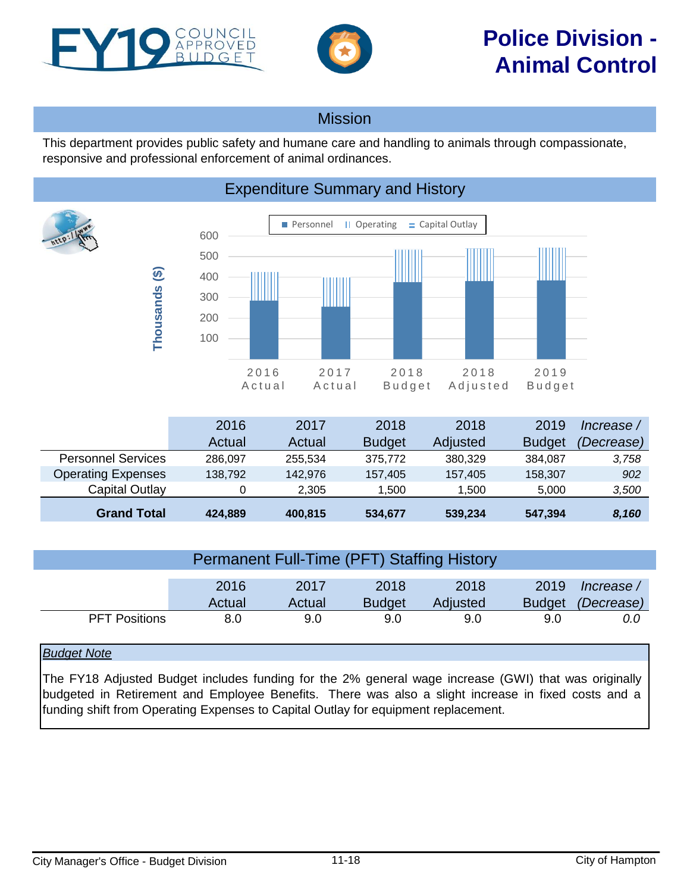<span id="page-17-0"></span>



This department provides public safety and humane care and handling to animals through compassionate, responsive and professional enforcement of animal ordinances.

# Expenditure Summary and History



|                           | 2016    | 2017    | 2018          | 2018     | 2019          | Increase / |
|---------------------------|---------|---------|---------------|----------|---------------|------------|
|                           | Actual  | Actual  | <b>Budget</b> | Adjusted | <b>Budget</b> | (Decrease) |
| <b>Personnel Services</b> | 286.097 | 255.534 | 375.772       | 380.329  | 384.087       | 3,758      |
| <b>Operating Expenses</b> | 138.792 | 142.976 | 157,405       | 157.405  | 158,307       | 902        |
| Capital Outlay            |         | 2.305   | 1.500         | 1.500    | 5.000         | 3,500      |
| <b>Grand Total</b>        | 424,889 | 400,815 | 534,677       | 539,234  | 547,394       | 8,160      |

| <b>Permanent Full-Time (PFT) Staffing History</b> |                |                |                       |                  |                       |                          |  |  |  |
|---------------------------------------------------|----------------|----------------|-----------------------|------------------|-----------------------|--------------------------|--|--|--|
|                                                   | 2016<br>Actual | 2017<br>Actual | 2018<br><b>Budget</b> | 2018<br>Adjusted | 2019<br><b>Budget</b> | lncrease /<br>(Decrease) |  |  |  |
| <b>PFT Positions</b>                              | 8.0            | 9.0            | 9.0                   | 9.0              | 9.0                   | 0.0                      |  |  |  |

## *Budget Note*

The FY18 Adjusted Budget includes funding for the 2% general wage increase (GWI) that was originally budgeted in Retirement and Employee Benefits. There was also a slight increase in fixed costs and a funding shift from Operating Expenses to Capital Outlay for equipment replacement.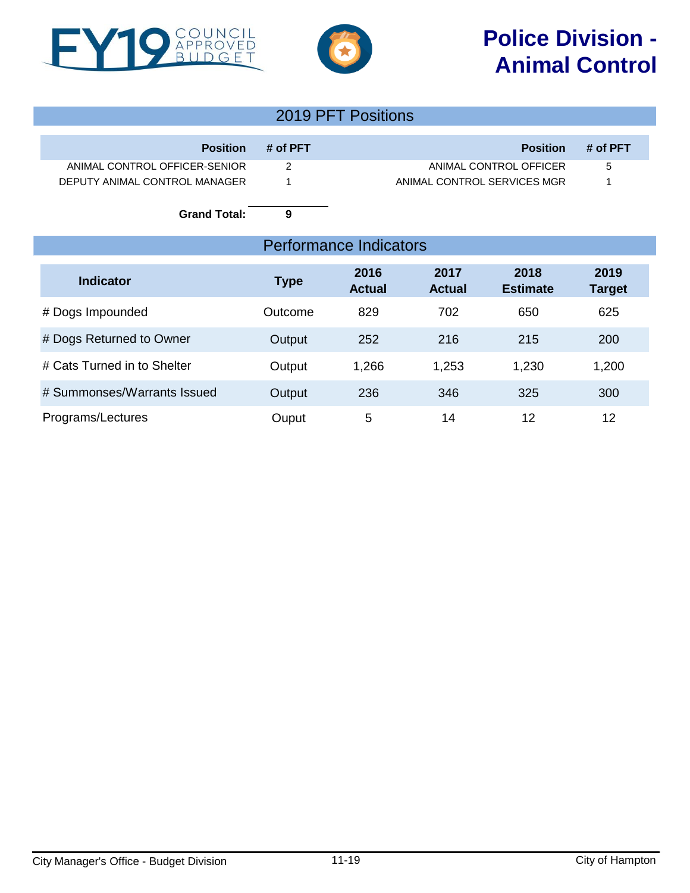



| 2019 PFT Positions            |          |                               |          |  |  |
|-------------------------------|----------|-------------------------------|----------|--|--|
| <b>Position</b>               | # of PFT | <b>Position</b>               | # of PFT |  |  |
| ANIMAL CONTROL OFFICER-SENIOR | 2        | ANIMAL CONTROL OFFICER        | 5        |  |  |
| DEPUTY ANIMAL CONTROL MANAGER |          | ANIMAL CONTROL SERVICES MGR   | 1        |  |  |
| <b>Grand Total:</b>           | 9        |                               |          |  |  |
|                               |          | <b>Performance Indicators</b> |          |  |  |
|                               |          |                               |          |  |  |

| <b>Indicator</b>            | <b>Type</b> | 2016<br><b>Actual</b> | 2017<br><b>Actual</b> | 2018<br><b>Estimate</b> | 2019<br><b>Target</b> |
|-----------------------------|-------------|-----------------------|-----------------------|-------------------------|-----------------------|
| # Dogs Impounded            | Outcome     | 829                   | 702                   | 650                     | 625                   |
| # Dogs Returned to Owner    | Output      | 252                   | 216                   | 215                     | 200                   |
| # Cats Turned in to Shelter | Output      | 1,266                 | 1,253                 | 1,230                   | 1,200                 |
| # Summonses/Warrants Issued | Output      | 236                   | 346                   | 325                     | 300                   |
| Programs/Lectures           | Ouput       | 5                     | 14                    | 12                      | 12                    |